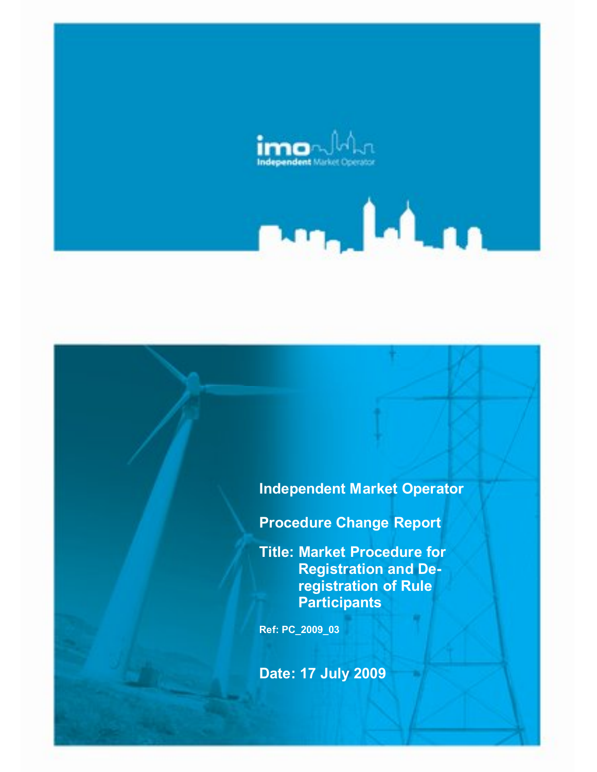

# **Independent Market Operator**

 $\blacksquare$ 

**Procedure Change Report**

**Title: Market Procedure for Registration and Deregistration of Rule Participants**

**Ref: PC\_2009\_03**

**Date: 17 July 2009**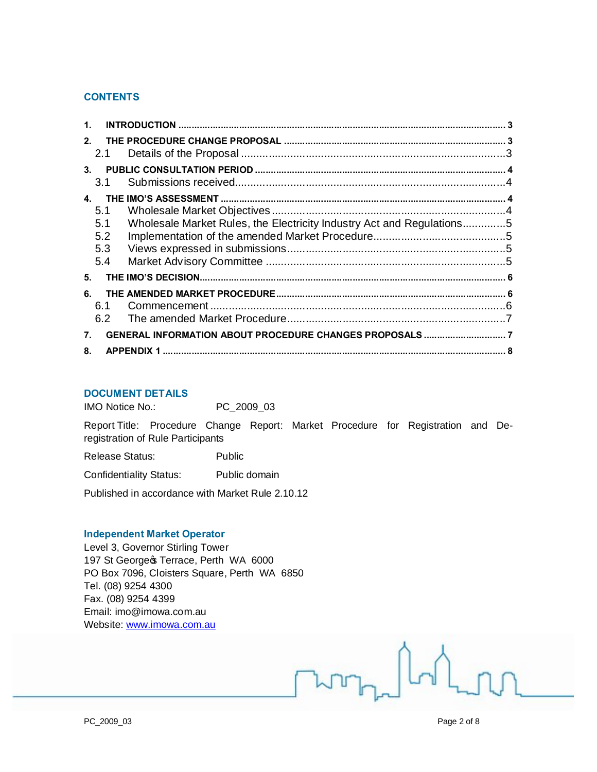## **CONTENTS**

| 1 <sub>1</sub> |                                 |                                                                       |  |
|----------------|---------------------------------|-----------------------------------------------------------------------|--|
| 2.             | 2.1                             |                                                                       |  |
| 3 <sub>1</sub> | 3.1                             |                                                                       |  |
| $\mathbf{A}$   | 5.1<br>5.1<br>5.2<br>5.3<br>5.4 | Wholesale Market Rules, the Electricity Industry Act and Regulations5 |  |
| 5.             |                                 |                                                                       |  |
| 6.             | 6.1<br>6.2                      |                                                                       |  |
| 7.             |                                 |                                                                       |  |
| 8.             |                                 |                                                                       |  |

## **DOCUMENT DETAILS**

IMO Notice No.: PC\_2009\_03

Report Title: Procedure Change Report: Market Procedure for Registration and Deregistration of Rule Participants

Release Status: Public

Confidentiality Status: Public domain

Published in accordance with Market Rule 2.10.12

#### **Independent Market Operator**

Level 3, Governor Stirling Tower 197 St George & Terrace, Perth WA 6000 PO Box 7096, Cloisters Square, Perth WA 6850 Tel. (08) 9254 4300 Fax. (08) 9254 4399 Email: imo@imowa.com.au Website: www.imowa.com.au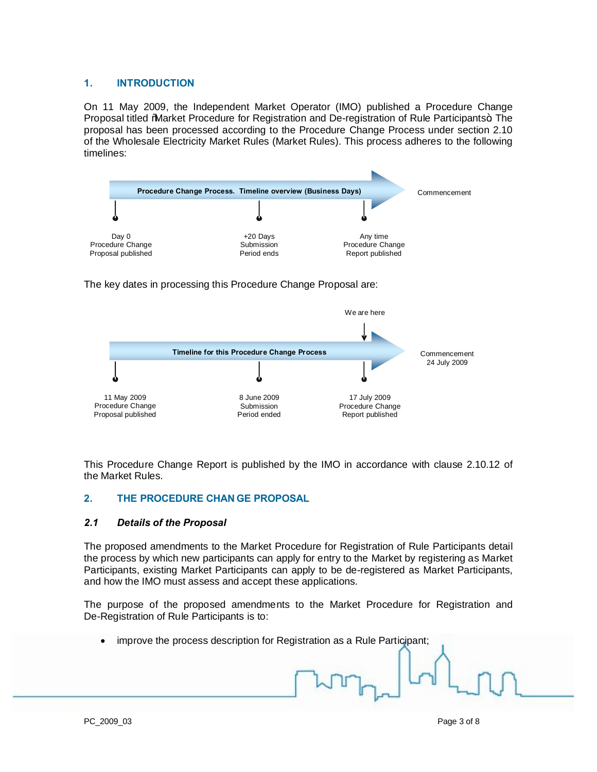## **1. INTRODUCTION**

On 11 May 2009, the Independent Market Operator (IMO) published a Procedure Change Proposal titled "Market Procedure for Registration and De-registration of Rule Participants+. The proposal has been processed according to the Procedure Change Process under section 2.10 of the Wholesale Electricity Market Rules (Market Rules). This process adheres to the following timelines:



The key dates in processing this Procedure Change Proposal are:



This Procedure Change Report is published by the IMO in accordance with clause 2.10.12 of the Market Rules.

## **2. THE PROCEDURE CHAN GE PROPOSAL**

#### *2.1 Details of the Proposal*

The proposed amendments to the Market Procedure for Registration of Rule Participants detail the process by which new participants can apply for entry to the Market by registering as Market Participants, existing Market Participants can apply to be de-registered as Market Participants, and how the IMO must assess and accept these applications.

The purpose of the proposed amendments to the Market Procedure for Registration and De-Registration of Rule Participants is to:

<span id="page-2-2"></span><span id="page-2-1"></span><span id="page-2-0"></span>· improve the process description for Registration as a Rule Participant;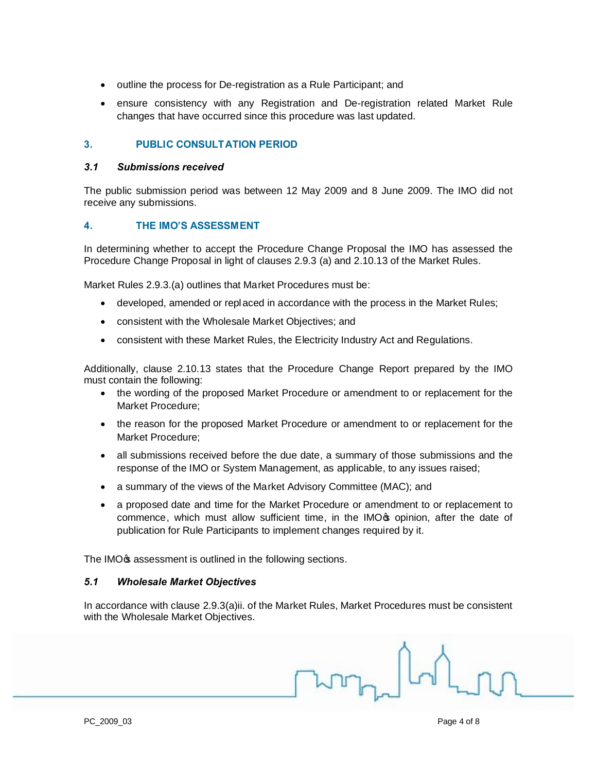- · outline the process for De-registration as a Rule Participant; and
- · ensure consistency with any Registration and De-registration related Market Rule changes that have occurred since this procedure was last updated.

## **3. PUBLIC CONSULTATION PERIOD**

#### *3.1 Submissions received*

The public submission period was between 12 May 2009 and 8 June 2009. The IMO did not receive any submissions.

## **4. THE IMO'S ASSESSMENT**

In determining whether to accept the Procedure Change Proposal the IMO has assessed the Procedure Change Proposal in light of clauses 2.9.3 (a) and 2.10.13 of the Market Rules.

Market Rules 2.9.3.(a) outlines that Market Procedures must be:

- developed, amended or replaced in accordance with the process in the Market Rules;
- · consistent with the Wholesale Market Objectives; and
- · consistent with these Market Rules, the Electricity Industry Act and Regulations.

Additionally, clause 2.10.13 states that the Procedure Change Report prepared by the IMO must contain the following:

- · the wording of the proposed Market Procedure or amendment to or replacement for the Market Procedure;
- · the reason for the proposed Market Procedure or amendment to or replacement for the Market Procedure;
- · all submissions received before the due date, a summary of those submissions and the response of the IMO or System Management, as applicable, to any issues raised;
- a summary of the views of the Market Advisory Committee (MAC); and
- · a proposed date and time for the Market Procedure or amendment to or replacement to commence, which must allow sufficient time, in the IMO opinion, after the date of publication for Rule Participants to implement changes required by it.

The IMO<sub>G</sub> assessment is outlined in the following sections.

#### *5.1 Wholesale Market Objectives*

<span id="page-3-3"></span>In accordance with clause 2.9.3(a)ii. of the Market Rules, Market Procedures must be consistent with the Wholesale Market Objectives.

<span id="page-3-2"></span><span id="page-3-1"></span><span id="page-3-0"></span>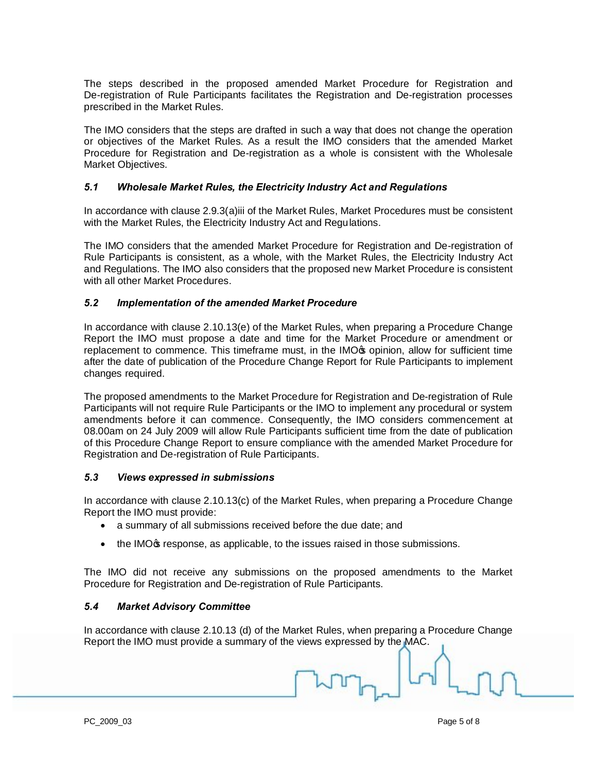The steps described in the proposed amended Market Procedure for Registration and De-registration of Rule Participants facilitates the Registration and De-registration processes prescribed in the Market Rules.

The IMO considers that the steps are drafted in such a way that does not change the operation or objectives of the Market Rules. As a result the IMO considers that the amended Market Procedure for Registration and De-registration as a whole is consistent with the Wholesale Market Objectives.

## *5.1 Wholesale Market Rules, the Electricity Industry Act and Regulations*

In accordance with clause 2.9.3(a)iii of the Market Rules, Market Procedures must be consistent with the Market Rules, the Electricity Industry Act and Regulations.

The IMO considers that the amended Market Procedure for Registration and De-registration of Rule Participants is consistent, as a whole, with the Market Rules, the Electricity Industry Act and Regulations. The IMO also considers that the proposed new Market Procedure is consistent with all other Market Procedures.

## *5.2 Implementation of the amended Market Procedure*

In accordance with clause 2.10.13(e) of the Market Rules, when preparing a Procedure Change Report the IMO must propose a date and time for the Market Procedure or amendment or replacement to commence. This timeframe must, in the IMO<sub><sup>\$</sup></sub> opinion, allow for sufficient time after the date of publication of the Procedure Change Report for Rule Participants to implement changes required.

The proposed amendments to the Market Procedure for Registration and De-registration of Rule Participants will not require Rule Participants or the IMO to implement any procedural or system amendments before it can commence. Consequently, the IMO considers commencement at 08.00am on 24 July 2009 will allow Rule Participants sufficient time from the date of publication of this Procedure Change Report to ensure compliance with the amended Market Procedure for Registration and De-registration of Rule Participants.

#### *5.3 Views expressed in submissions*

In accordance with clause 2.10.13(c) of the Market Rules, when preparing a Procedure Change Report the IMO must provide:

- a summary of all submissions received before the due date; and
- the IMO<sub>G</sub> response, as applicable, to the issues raised in those submissions.

The IMO did not receive any submissions on the proposed amendments to the Market Procedure for Registration and De-registration of Rule Participants.

#### *5.4 Market Advisory Committee*

<span id="page-4-3"></span><span id="page-4-2"></span><span id="page-4-1"></span><span id="page-4-0"></span>In accordance with clause 2.10.13 (d) of the Market Rules, when preparing a Procedure Change Report the IMO must provide a summary of the views expressed by the MAC.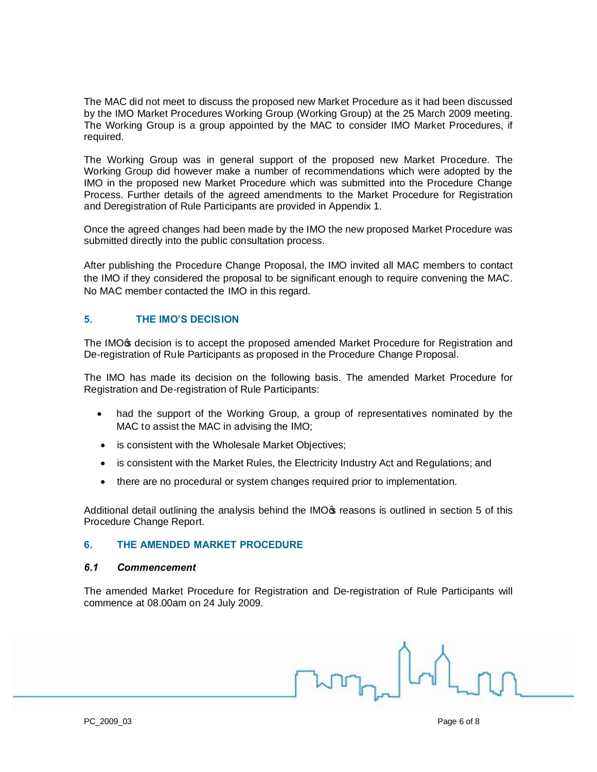The MAC did not meet to discuss the proposed new Market Procedure as it had been discussed by the IMO Market Procedures Working Group (Working Group) at the 25 March 2009 meeting. The Working Group is a group appointed by the MAC to consider IMO Market Procedures, if required.

The Working Group was in general support of the proposed new Market Procedure. The Working Group did however make a number of recommendations which were adopted by the IMO in the proposed new Market Procedure which was submitted into the Procedure Change Process. Further details of the agreed amendments to the Market Procedure for Registration and Deregistration of Rule Participants are provided in Appendix 1.

Once the agreed changes had been made by the IMO the new proposed Market Procedure was submitted directly into the public consultation process.

After publishing the Procedure Change Proposal, the IMO invited all MAC members to contact the IMO if they considered the proposal to be significant enough to require convening the MAC. No MAC member contacted the IMO in this regard.

## **5. THE IMO'S DECISION**

The IMO<sub>®</sub> decision is to accept the proposed amended Market Procedure for Registration and De-registration of Rule Participants as proposed in the Procedure Change Proposal.

The IMO has made its decision on the following basis. The amended Market Procedure for Registration and De-registration of Rule Participants:

- had the support of the Working Group, a group of representatives nominated by the MAC to assist the MAC in advising the IMO;
- is consistent with the Wholesale Market Objectives;
- · is consistent with the Market Rules, the Electricity Industry Act and Regulations; and
- there are no procedural or system changes required prior to implementation.

Additional detail outlining the analysis behind the IMO<sub>ff</sub> reasons is outlined in section 5 of this Procedure Change Report.

#### **6. THE AMENDED MARKET PROCEDURE**

#### *6.1 Commencement*

The amended Market Procedure for Registration and De-registration of Rule Participants will commence at 08.00am on 24 July 2009.

<span id="page-5-2"></span><span id="page-5-1"></span><span id="page-5-0"></span>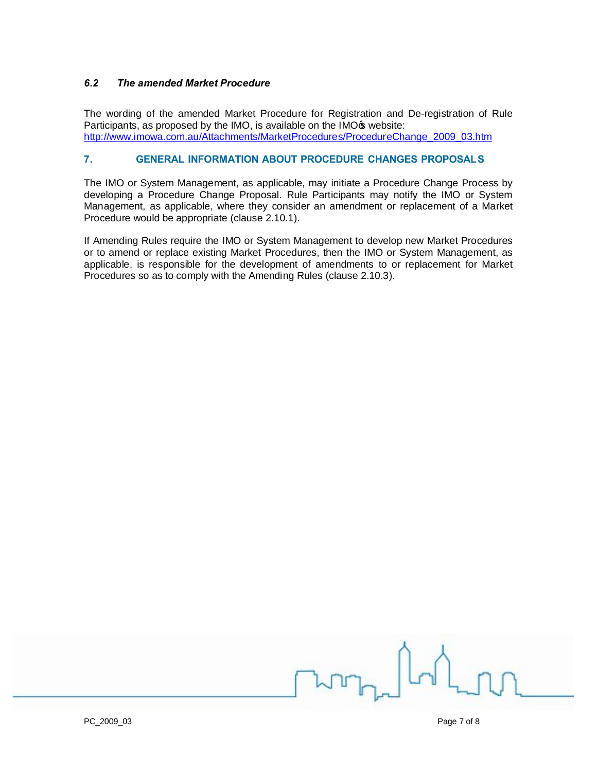## *6.2 The amended Market Procedure*

The wording of the amended Market Procedure for Registration and De-registration of Rule Participants, as proposed by the IMO, is available on the IMO<sub>\$</sub> website: [http://www.imowa.com.au/Attachments/MarketProcedures/ProcedureChange\\_2009\\_03.htm](http://www.imowa.com.au/Attachments/MarketProcedures/ProcedureChange_2009_03.htm)

#### **7. GENERAL INFORMATION ABOUT PROCEDURE CHANGES PROPOSALS**

The IMO or System Management, as applicable, may initiate a Procedure Change Process by developing a Procedure Change Proposal. Rule Participants may notify the IMO or System Management, as applicable, where they consider an amendment or replacement of a Market Procedure would be appropriate (clause 2.10.1).

If Amending Rules require the IMO or System Management to develop new Market Procedures or to amend or replace existing Market Procedures, then the IMO or System Management, as applicable, is responsible for the development of amendments to or replacement for Market Procedures so as to comply with the Amending Rules (clause 2.10.3).

<span id="page-6-1"></span><span id="page-6-0"></span>